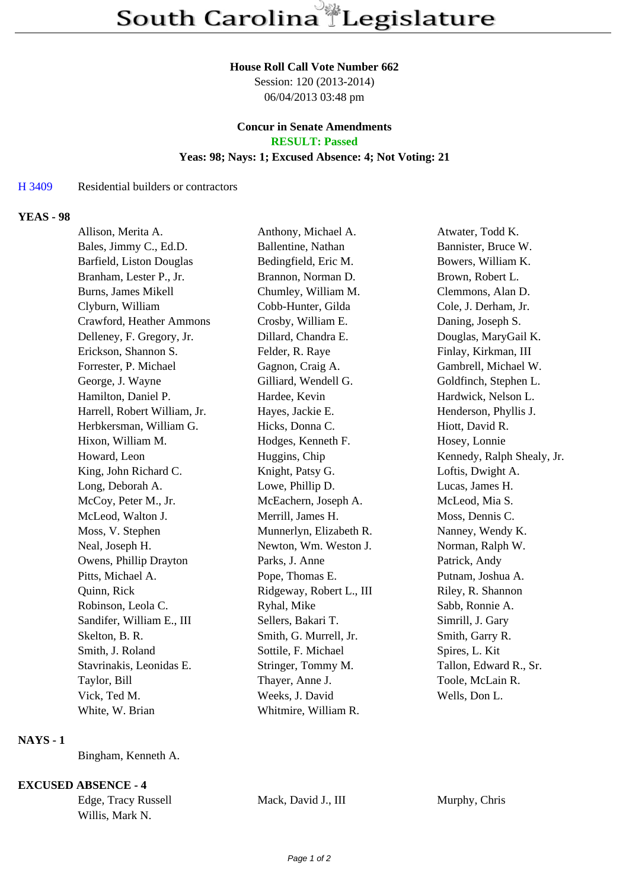#### **House Roll Call Vote Number 662**

Session: 120 (2013-2014) 06/04/2013 03:48 pm

## **Concur in Senate Amendments RESULT: Passed**

#### **Yeas: 98; Nays: 1; Excused Absence: 4; Not Voting: 21**

#### H 3409 Residential builders or contractors

#### **YEAS - 98**

| Allison, Merita A.           | Anthony, Michael A.      | Atwater, Todd K.           |
|------------------------------|--------------------------|----------------------------|
| Bales, Jimmy C., Ed.D.       | Ballentine, Nathan       | Bannister, Bruce W.        |
| Barfield, Liston Douglas     | Bedingfield, Eric M.     | Bowers, William K.         |
| Branham, Lester P., Jr.      | Brannon, Norman D.       | Brown, Robert L.           |
| <b>Burns, James Mikell</b>   | Chumley, William M.      | Clemmons, Alan D.          |
| Clyburn, William             | Cobb-Hunter, Gilda       | Cole, J. Derham, Jr.       |
| Crawford, Heather Ammons     | Crosby, William E.       | Daning, Joseph S.          |
| Delleney, F. Gregory, Jr.    | Dillard, Chandra E.      | Douglas, MaryGail K.       |
| Erickson, Shannon S.         | Felder, R. Raye          | Finlay, Kirkman, III       |
| Forrester, P. Michael        | Gagnon, Craig A.         | Gambrell, Michael W.       |
| George, J. Wayne             | Gilliard, Wendell G.     | Goldfinch, Stephen L.      |
| Hamilton, Daniel P.          | Hardee, Kevin            | Hardwick, Nelson L.        |
| Harrell, Robert William, Jr. | Hayes, Jackie E.         | Henderson, Phyllis J.      |
| Herbkersman, William G.      | Hicks, Donna C.          | Hiott, David R.            |
| Hixon, William M.            | Hodges, Kenneth F.       | Hosey, Lonnie              |
| Howard, Leon                 | Huggins, Chip            | Kennedy, Ralph Shealy, Jr. |
| King, John Richard C.        | Knight, Patsy G.         | Loftis, Dwight A.          |
| Long, Deborah A.             | Lowe, Phillip D.         | Lucas, James H.            |
| McCoy, Peter M., Jr.         | McEachern, Joseph A.     | McLeod, Mia S.             |
| McLeod, Walton J.            | Merrill, James H.        | Moss, Dennis C.            |
| Moss, V. Stephen             | Munnerlyn, Elizabeth R.  | Nanney, Wendy K.           |
| Neal, Joseph H.              | Newton, Wm. Weston J.    | Norman, Ralph W.           |
| Owens, Phillip Drayton       | Parks, J. Anne           | Patrick, Andy              |
| Pitts, Michael A.            | Pope, Thomas E.          | Putnam, Joshua A.          |
| Quinn, Rick                  | Ridgeway, Robert L., III | Riley, R. Shannon          |
| Robinson, Leola C.           | Ryhal, Mike              | Sabb, Ronnie A.            |
| Sandifer, William E., III    | Sellers, Bakari T.       | Simrill, J. Gary           |
| Skelton, B. R.               | Smith, G. Murrell, Jr.   | Smith, Garry R.            |
| Smith, J. Roland             | Sottile, F. Michael      | Spires, L. Kit             |
| Stavrinakis, Leonidas E.     | Stringer, Tommy M.       | Tallon, Edward R., Sr.     |
| Taylor, Bill                 | Thayer, Anne J.          | Toole, McLain R.           |
| Vick, Ted M.                 | Weeks, J. David          | Wells, Don L.              |
| White, W. Brian              | Whitmire, William R.     |                            |

# **NAYS - 1**

Bingham, Kenneth A.

# **EXCUSED ABSENCE - 4**

Willis, Mark N.

Edge, Tracy Russell Mack, David J., III Murphy, Chris